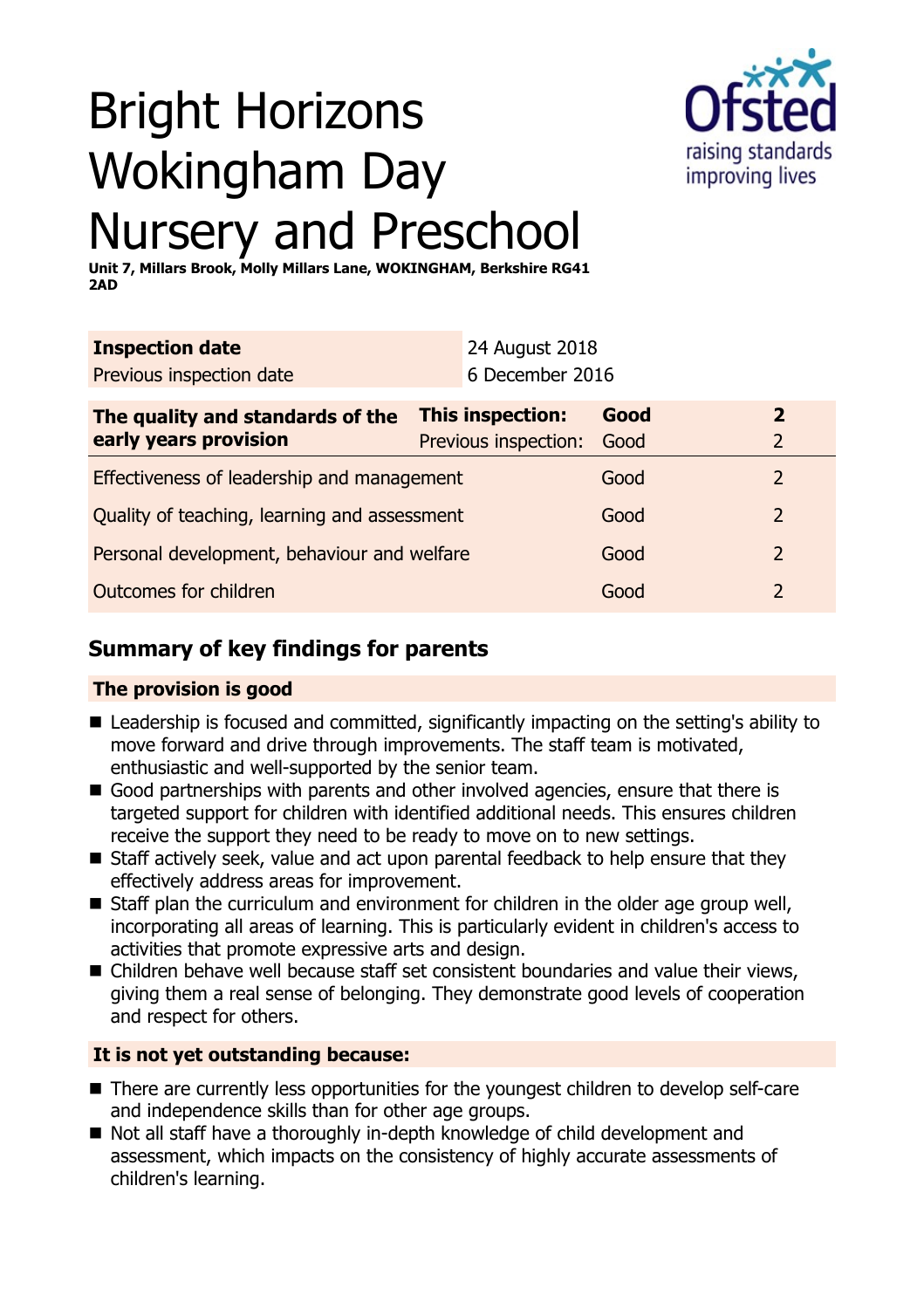

# Bright Horizons Wokingham Day Nursery and Preschool

**Unit 7, Millars Brook, Molly Millars Lane, WOKINGHAM, Berkshire RG41 2AD**

| <b>Inspection date</b>                                    |  | 24 August 2018                           |              |                                  |
|-----------------------------------------------------------|--|------------------------------------------|--------------|----------------------------------|
| Previous inspection date                                  |  | 6 December 2016                          |              |                                  |
| The quality and standards of the<br>early years provision |  | This inspection:<br>Previous inspection: | Good<br>Good | $\overline{2}$<br>$\overline{2}$ |
| Effectiveness of leadership and management                |  |                                          | Good         | 2                                |
| Quality of teaching, learning and assessment              |  |                                          | Good         | $\overline{2}$                   |
| Personal development, behaviour and welfare               |  |                                          | Good         | $\overline{2}$                   |
| Outcomes for children                                     |  |                                          | Gooc         | つ                                |

# **Summary of key findings for parents**

## **The provision is good**

- Leadership is focused and committed, significantly impacting on the setting's ability to move forward and drive through improvements. The staff team is motivated, enthusiastic and well-supported by the senior team.
- Good partnerships with parents and other involved agencies, ensure that there is targeted support for children with identified additional needs. This ensures children receive the support they need to be ready to move on to new settings.
- $\blacksquare$  Staff actively seek, value and act upon parental feedback to help ensure that they effectively address areas for improvement.
- $\blacksquare$  Staff plan the curriculum and environment for children in the older age group well, incorporating all areas of learning. This is particularly evident in children's access to activities that promote expressive arts and design.
- Children behave well because staff set consistent boundaries and value their views, giving them a real sense of belonging. They demonstrate good levels of cooperation and respect for others.

## **It is not yet outstanding because:**

- $\blacksquare$  There are currently less opportunities for the youngest children to develop self-care and independence skills than for other age groups.
- Not all staff have a thoroughly in-depth knowledge of child development and assessment, which impacts on the consistency of highly accurate assessments of children's learning.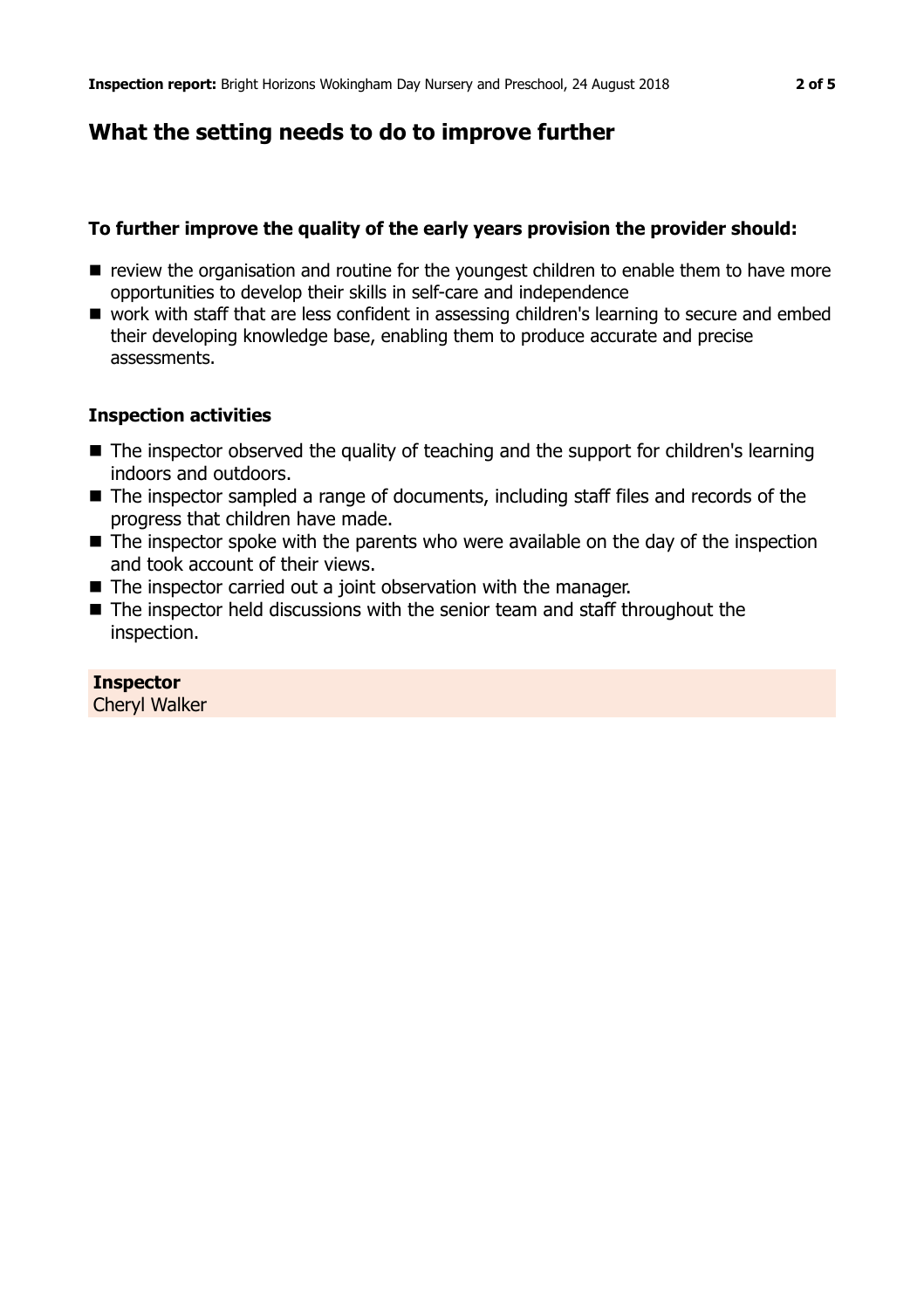## **What the setting needs to do to improve further**

#### **To further improve the quality of the early years provision the provider should:**

- $\blacksquare$  review the organisation and routine for the youngest children to enable them to have more opportunities to develop their skills in self-care and independence
- work with staff that are less confident in assessing children's learning to secure and embed their developing knowledge base, enabling them to produce accurate and precise assessments.

#### **Inspection activities**

- The inspector observed the quality of teaching and the support for children's learning indoors and outdoors.
- $\blacksquare$  The inspector sampled a range of documents, including staff files and records of the progress that children have made.
- $\blacksquare$  The inspector spoke with the parents who were available on the day of the inspection and took account of their views.
- The inspector carried out a joint observation with the manager.
- $\blacksquare$  The inspector held discussions with the senior team and staff throughout the inspection.

#### **Inspector**

Cheryl Walker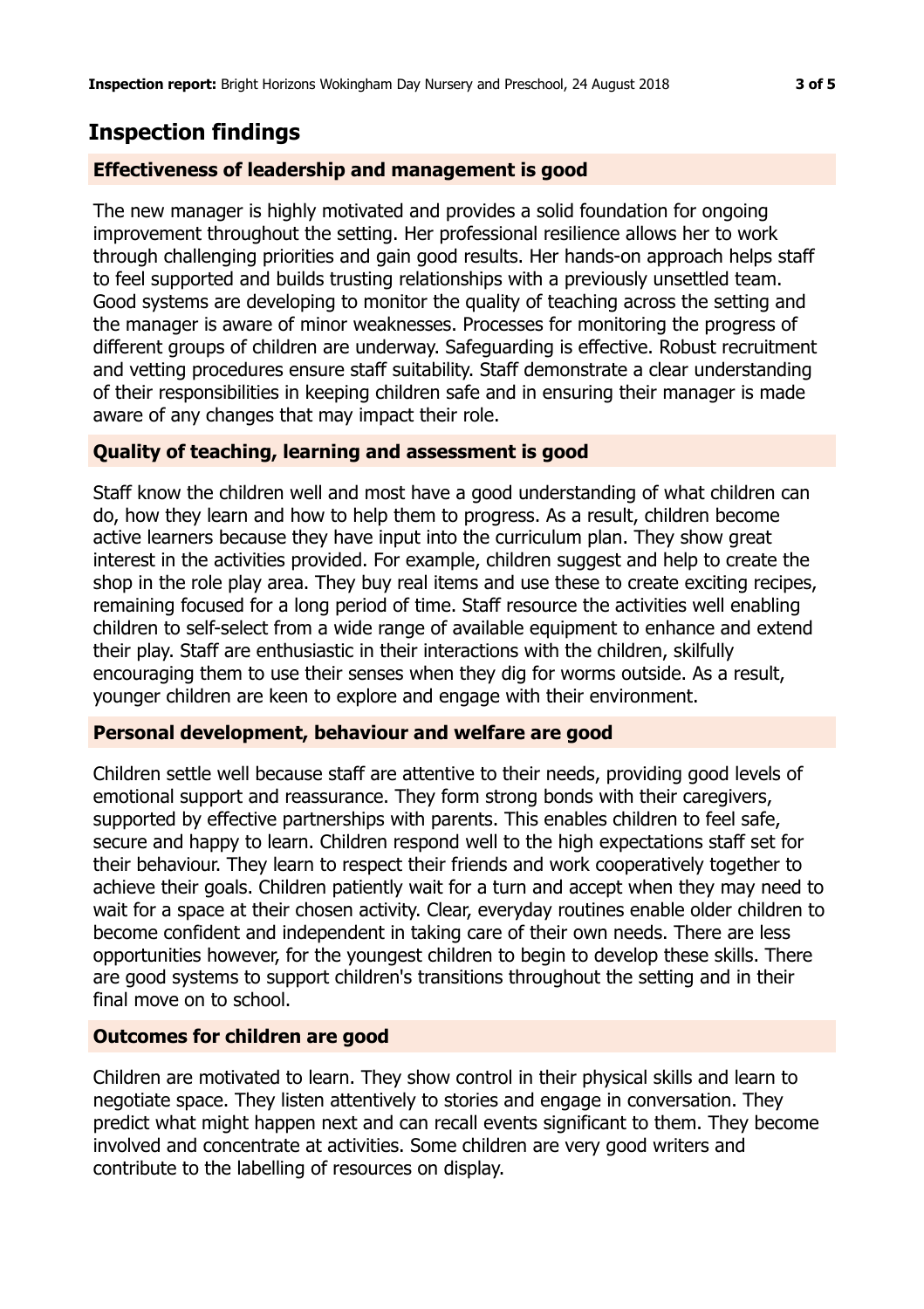# **Inspection findings**

#### **Effectiveness of leadership and management is good**

The new manager is highly motivated and provides a solid foundation for ongoing improvement throughout the setting. Her professional resilience allows her to work through challenging priorities and gain good results. Her hands-on approach helps staff to feel supported and builds trusting relationships with a previously unsettled team. Good systems are developing to monitor the quality of teaching across the setting and the manager is aware of minor weaknesses. Processes for monitoring the progress of different groups of children are underway. Safeguarding is effective. Robust recruitment and vetting procedures ensure staff suitability. Staff demonstrate a clear understanding of their responsibilities in keeping children safe and in ensuring their manager is made aware of any changes that may impact their role.

#### **Quality of teaching, learning and assessment is good**

Staff know the children well and most have a good understanding of what children can do, how they learn and how to help them to progress. As a result, children become active learners because they have input into the curriculum plan. They show great interest in the activities provided. For example, children suggest and help to create the shop in the role play area. They buy real items and use these to create exciting recipes, remaining focused for a long period of time. Staff resource the activities well enabling children to self-select from a wide range of available equipment to enhance and extend their play. Staff are enthusiastic in their interactions with the children, skilfully encouraging them to use their senses when they dig for worms outside. As a result, younger children are keen to explore and engage with their environment.

#### **Personal development, behaviour and welfare are good**

Children settle well because staff are attentive to their needs, providing good levels of emotional support and reassurance. They form strong bonds with their caregivers, supported by effective partnerships with parents. This enables children to feel safe, secure and happy to learn. Children respond well to the high expectations staff set for their behaviour. They learn to respect their friends and work cooperatively together to achieve their goals. Children patiently wait for a turn and accept when they may need to wait for a space at their chosen activity. Clear, everyday routines enable older children to become confident and independent in taking care of their own needs. There are less opportunities however, for the youngest children to begin to develop these skills. There are good systems to support children's transitions throughout the setting and in their final move on to school.

#### **Outcomes for children are good**

Children are motivated to learn. They show control in their physical skills and learn to negotiate space. They listen attentively to stories and engage in conversation. They predict what might happen next and can recall events significant to them. They become involved and concentrate at activities. Some children are very good writers and contribute to the labelling of resources on display.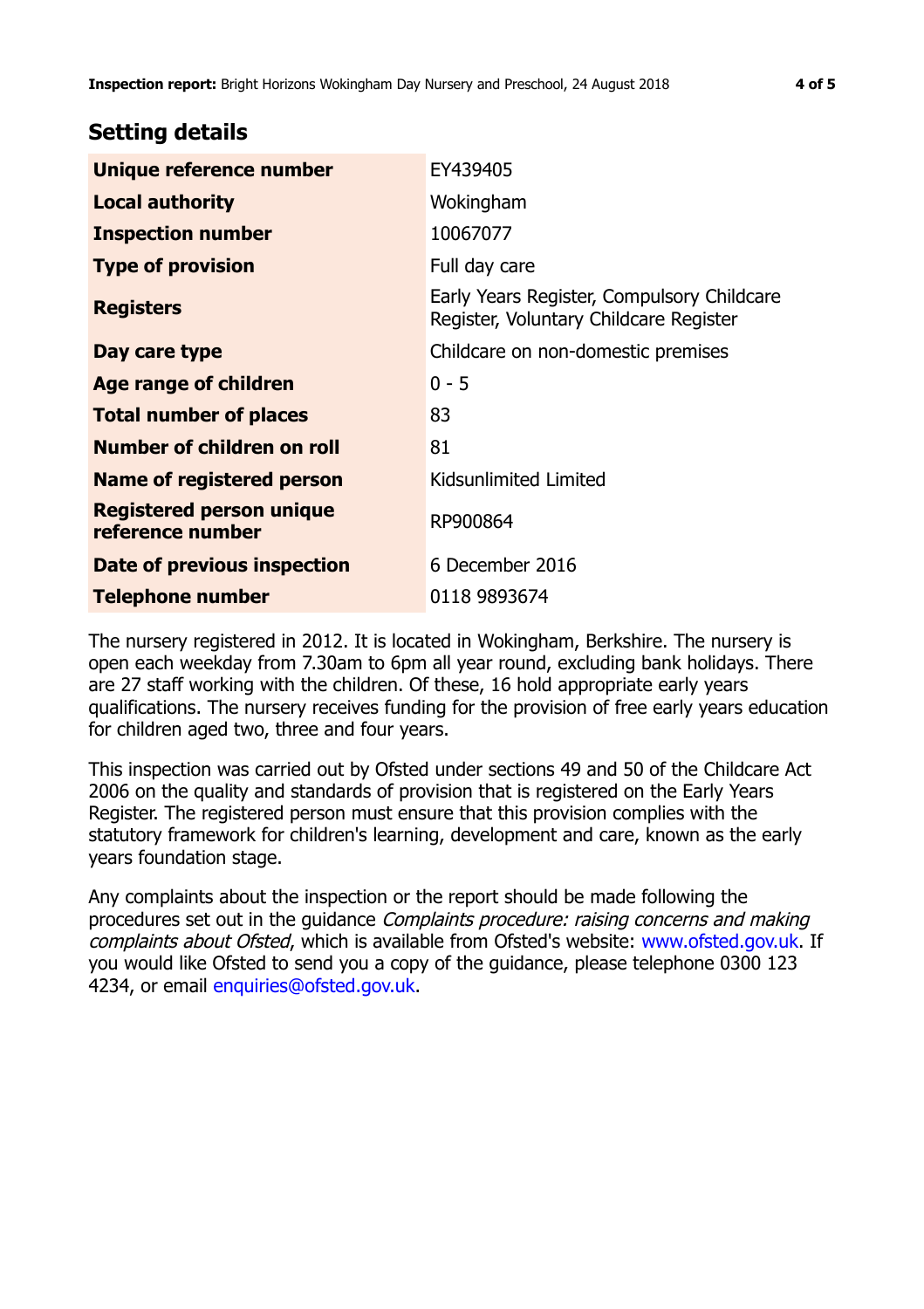## **Setting details**

| Unique reference number                      | EY439405                                                                             |  |
|----------------------------------------------|--------------------------------------------------------------------------------------|--|
| <b>Local authority</b>                       | Wokingham                                                                            |  |
| <b>Inspection number</b>                     | 10067077                                                                             |  |
| <b>Type of provision</b>                     | Full day care                                                                        |  |
| <b>Registers</b>                             | Early Years Register, Compulsory Childcare<br>Register, Voluntary Childcare Register |  |
| Day care type                                | Childcare on non-domestic premises                                                   |  |
| Age range of children                        | $0 - 5$                                                                              |  |
| <b>Total number of places</b>                | 83                                                                                   |  |
| Number of children on roll                   | 81                                                                                   |  |
| Name of registered person                    | Kidsunlimited Limited                                                                |  |
| Registered person unique<br>reference number | RP900864                                                                             |  |
| Date of previous inspection                  | 6 December 2016                                                                      |  |
| <b>Telephone number</b>                      | 0118 9893674                                                                         |  |

The nursery registered in 2012. It is located in Wokingham, Berkshire. The nursery is open each weekday from 7.30am to 6pm all year round, excluding bank holidays. There are 27 staff working with the children. Of these, 16 hold appropriate early years qualifications. The nursery receives funding for the provision of free early years education for children aged two, three and four years.

This inspection was carried out by Ofsted under sections 49 and 50 of the Childcare Act 2006 on the quality and standards of provision that is registered on the Early Years Register. The registered person must ensure that this provision complies with the statutory framework for children's learning, development and care, known as the early years foundation stage.

Any complaints about the inspection or the report should be made following the procedures set out in the guidance Complaints procedure: raising concerns and making complaints about Ofsted, which is available from Ofsted's website: www.ofsted.gov.uk. If you would like Ofsted to send you a copy of the guidance, please telephone 0300 123 4234, or email [enquiries@ofsted.gov.uk.](mailto:enquiries@ofsted.gov.uk)